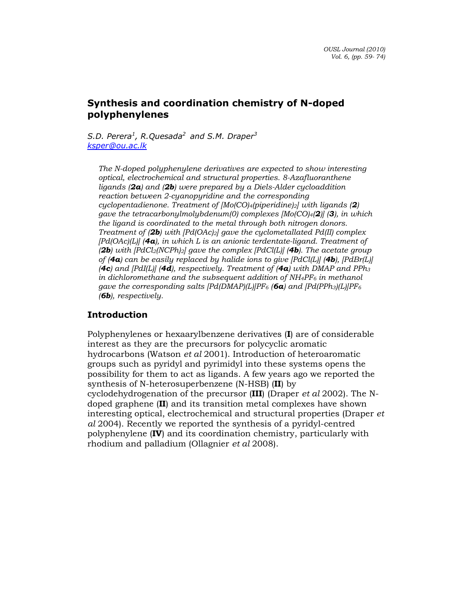# Synthesis and coordination chemistry of N-doped polyphenylenes

S.D. Perera<sup>1</sup>, R.Quesada<sup>2</sup> and S.M. Draper<sup>3</sup> ksper@ou.ac.lk

The N-doped polyphenylene derivatives are expected to show interesting optical, electrochemical and structural properties. 8-Azafluoranthene ligands ( $2a$ ) and ( $2b$ ) were prepared by a Diels-Alder cycloaddition reaction between 2-cyanopyridine and the corresponding cyclopentadienone. Treatment of  $[Mo(CO)_4(piperidine)_2]$  with ligands (2) gave the tetracarbonylmolybdenum(0) complexes  $[Mo(CO)_4(2)]$  (3), in which the ligand is coordinated to the metal through both nitrogen donors. Treatment of  $(2b)$  with  $Pd(OAc)_{2}$  gave the cyclometallated Pd(II) complex  $[Pd(OAc)(L)]$  (4a), in which L is an anionic terdentate-ligand. Treatment of (2b) with  $[PdCl_2(NCPh)_2]$  gave the complex  $[PdCl(L)]$  (4b). The acetate group of (4a) can be easily replaced by halide ions to give  $[PdCl(L)]$  (4b),  $[PdBr(L)]$ (4c) and [PdI(L)] (4d), respectively. Treatment of  $(4a)$  with DMAP and PPh<sub>3</sub> in dichloromethane and the subsequent addition of  $NH_4PF_6$  in methanol gave the corresponding salts  $[Pd(DMAP)(L)]PF_6$  (6a) and  $[Pd(PPh_3)(L)]PF_6$ (6b), respectively.

# Introduction

Polyphenylenes or hexaarylbenzene derivatives (I) are of considerable interest as they are the precursors for polycyclic aromatic hydrocarbons (Watson et al 2001). Introduction of heteroaromatic groups such as pyridyl and pyrimidyl into these systems opens the possibility for them to act as ligands. A few years ago we reported the synthesis of N-heterosuperbenzene (N-HSB) (II) by cyclodehydrogenation of the precursor (III) (Draper et al 2002). The Ndoped graphene (II) and its transition metal complexes have shown interesting optical, electrochemical and structural properties (Draper et al 2004). Recently we reported the synthesis of a pyridyl-centred polyphenylene (IV) and its coordination chemistry, particularly with rhodium and palladium (Ollagnier et al 2008).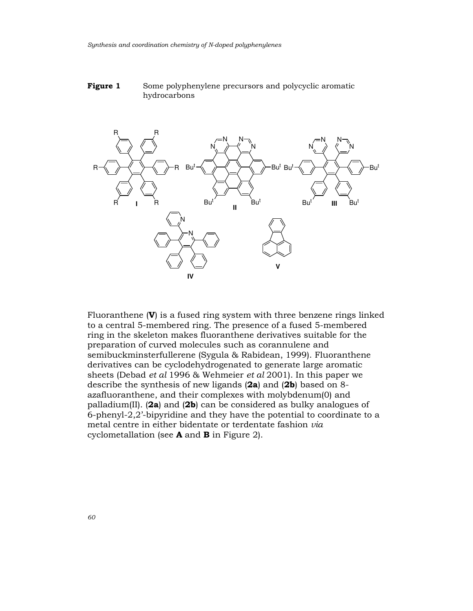



Fluoranthene  $(V)$  is a fused ring system with three benzene rings linked to a central 5-membered ring. The presence of a fused 5-membered ring in the skeleton makes fluoranthene derivatives suitable for the preparation of curved molecules such as corannulene and semibuckminsterfullerene (Sygula & Rabidean, 1999). Fluoranthene derivatives can be cyclodehydrogenated to generate large aromatic sheets (Debad et al 1996 & Wehmeier et al 2001). In this paper we describe the synthesis of new ligands (2a) and (2b) based on 8 azafluoranthene, and their complexes with molybdenum(0) and palladium(II). (2a) and (2b) can be considered as bulky analogues of 6-phenyl-2,2'-bipyridine and they have the potential to coordinate to a metal centre in either bidentate or terdentate fashion via cyclometallation (see  $A$  and  $B$  in Figure 2).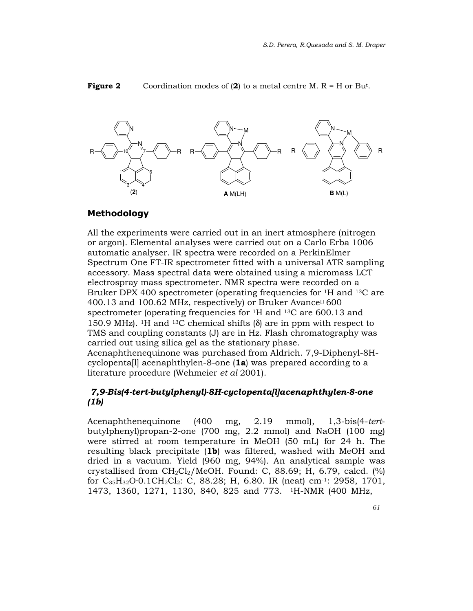

#### **Figure 2** Coordination modes of  $(2)$  to a metal centre M. R = H or Bu<sup>t</sup>.

#### Methodology

All the experiments were carried out in an inert atmosphere (nitrogen or argon). Elemental analyses were carried out on a Carlo Erba 1006 automatic analyser. IR spectra were recorded on a PerkinElmer Spectrum One FT-IR spectrometer fitted with a universal ATR sampling accessory. Mass spectral data were obtained using a micromass LCT electrospray mass spectrometer. NMR spectra were recorded on a Bruker DPX 400 spectrometer (operating frequencies for 1H and 13C are 400.13 and 100.62 MHz, respectively) or Bruker Avance $\Pi$  600 spectrometer (operating frequencies for 1H and 13C are 600.13 and 150.9 MHz). <sup>1</sup>H and <sup>13</sup>C chemical shifts ( $\delta$ ) are in ppm with respect to TMS and coupling constants (J) are in Hz. Flash chromatography was carried out using silica gel as the stationary phase. Acenaphthenequinone was purchased from Aldrich. 7,9-Diphenyl-8Hcyclopenta[l] acenaphthylen-8-one (1a) was prepared according to a literature procedure (Wehmeier et al 2001).

### 7,9-Bis(4-tert-butylphenyl)-8H-cyclopenta[l]acenaphthylen-8-one (1b)

Acenaphthenequinone (400 mg, 2.19 mmol), 1,3-bis(4-tertbutylphenyl)propan-2-one (700 mg, 2.2 mmol) and NaOH (100 mg) were stirred at room temperature in MeOH (50 mL) for 24 h. The resulting black precipitate (1b) was filtered, washed with MeOH and dried in a vacuum. Yield (960 mg, 94%). An analytical sample was crystallised from  $CH_2Cl_2/MeOH$ . Found: C, 88.69; H, 6.79, calcd. (%) for  $C_{35}H_{32}O \cdot 0.1CH_2Cl_2$ : C, 88.28; H, 6.80. IR (neat) cm<sup>-1</sup>: 2958, 1701, 1473, 1360, 1271, 1130, 840, 825 and 773. <sup>1</sup>H-NMR (400 MHz,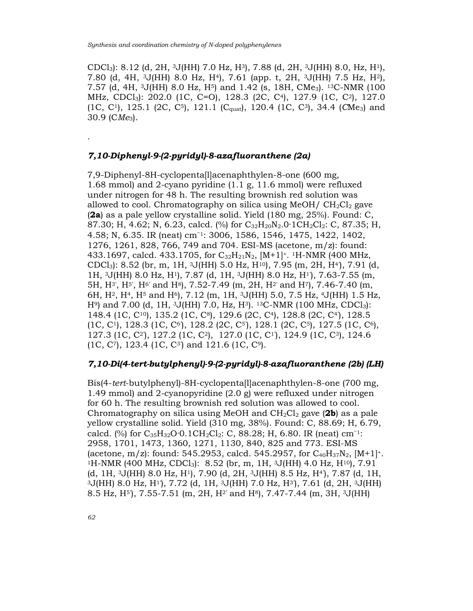CDCl3): 8.12 (d, 2H, 3J(HH) 7.0 Hz, H3), 7.88 (d, 2H, 3J(HH) 8.0, Hz, H1), 7.80 (d, 4H, 3J(HH) 8.0 Hz, H4), 7.61 (app. t, 2H, 3J(HH) 7.5 Hz, H2), 7.57 (d, 4H,  $\rm{^{3}J(HH)}$  8.0 Hz, H<sup>5</sup>) and 1.42 (s, 18H, CMe<sub>3</sub>). <sup>13</sup>C-NMR (100 MHz, CDCl3): 202.0 (1C, C=O), 128.3 (2C, C4), 127.9 (1C, C2), 127.0  $(1C, C<sup>1</sup>), 125.1 (2C, C<sup>5</sup>), 121.1 (C<sub>quad</sub>), 120.4 (1C, C<sup>3</sup>), 34.4 (CMe<sub>3</sub>) and$ 30.9 ( $CMe<sub>3</sub>$ ).

#### 7,10-Diphenyl-9-(2-pyridyl)-8-azafluoranthene (2a)

7,9-Diphenyl-8H-cyclopenta[l]acenaphthylen-8-one (600 mg, 1.68 mmol) and 2-cyano pyridine (1.1 g, 11.6 mmol) were refluxed under nitrogen for 48 h. The resulting brownish red solution was allowed to cool. Chromatography on silica using  $MeOH / CH<sub>2</sub>Cl<sub>2</sub>$  gave (2a) as a pale yellow crystalline solid. Yield (180 mg, 25%). Found: C, 87.30; H, 4.62; N, 6.23, calcd. (%) for C<sub>32</sub>H<sub>20</sub>N<sub>2</sub>.0·1CH<sub>2</sub>Cl<sub>2</sub>: C, 87.35; H, 4.58; N, 6.35. IR (neat) cm<sup>−</sup>1: 3006, 1586, 1546, 1475, 1422, 1402, 1276, 1261, 828, 766, 749 and 704. ESI-MS (acetone, m/z): found: 433.1697, calcd. 433.1705, for  $C_{32}H_{21}N_2$ ,  $[M+1]^+$ . <sup>1</sup>H-NMR (400 MHz, CDCl<sub>3</sub>): 8.52 (br, m, 1H, <sup>3</sup>J(HH) 5.0 Hz, H<sup>10</sup>), 7.95 (m, 2H, H<sup>4</sup>), 7.91 (d, 1H, 3J(HH) 8.0 Hz, H1), 7.87 (d, 1H, 3J(HH) 8.0 Hz, H1'), 7.63-7.55 (m, 5H, H<sup>3'</sup>, H<sup>5'</sup>, H<sup>6'</sup> and H<sup>8</sup>), 7.52-7.49 (m, 2H, H<sup>2'</sup> and H<sup>7</sup>), 7.46-7.40 (m, 6H,  $H^2$ ,  $H^4$ ,  $H^5$  and  $H^6$ ),  $7.12$  (m,  $1H$ ,  $3J(HH)$  5.0,  $7.5$  Hz,  $4J(HH)$  1.5 Hz, H<sup>9</sup>) and 7.00 (d, 1H, <sup>3</sup>J(HH) 7.0, Hz, H<sup>3</sup>). <sup>13</sup>C-NMR (100 MHz, CDCl<sub>3</sub>): 148.4 (1C, C10), 135.2 (1C, C8), 129.6 (2C, C4), 128.8 (2C, C4'), 128.5  $(1C, C<sup>1</sup>), 128.3 (1C, C<sup>6</sup>), 128.2 (2C, C<sup>5</sup>), 128.1 (2C, C<sup>5</sup>), 127.5 (1C, C<sup>6</sup>),$ 127.3 (1C, C2'), 127.2 (1C, C2), 127.0 (1C, C1'), 124.9 (1C, C3), 124.6  $(1C, C<sup>7</sup>), 123.4 (1C, C<sup>3</sup>)$  and  $121.6 (1C, C<sup>9</sup>).$ 

#### 7,10-Di(4-tert-butylphenyl)-9-(2-pyridyl)-8-azafluoranthene (2b) (LH)

Bis(4-tert-butylphenyl)-8H-cyclopenta[l]acenaphthylen-8-one (700 mg, 1.49 mmol) and 2-cyanopyridine (2.0 g) were refluxed under nitrogen for 60 h. The resulting brownish red solution was allowed to cool. Chromatography on silica using MeOH and  $CH_2Cl_2$  gave (2b) as a pale yellow crystalline solid. Yield (310 mg, 38%). Found: C, 88.69; H, 6.79, calcd. (%) for  $C_{35}H_{32}O \cdot 0.1CH_2Cl_2$ : C, 88.28; H, 6.80. IR (neat) cm<sup>-1</sup>: 2958, 1701, 1473, 1360, 1271, 1130, 840, 825 and 773. ESI-MS (acetone, m/z): found: 545.2953, calcd. 545.2957, for  $C_{40}H_{37}N_2$ ,  $[M+1]^+$ . <sup>1</sup>H-NMR (400 MHz, CDCl<sub>3</sub>): 8.52 (br, m, 1H, <sup>3</sup>J(HH) 4.0 Hz, H<sup>10</sup>), 7.91 (d, 1H,  $3J(HH)$  8.0 Hz,  $H<sup>1</sup>$ ), 7.90 (d, 2H,  $3J(HH)$  8.5 Hz,  $H<sup>4</sup>$ ), 7.87 (d, 1H,  $3J(HH)$  8.0 Hz, H<sup>1</sup>), 7.72 (d, 1H,  $3J(HH)$  7.0 Hz, H<sup>3</sup>), 7.61 (d, 2H,  $3J(HH)$ 8.5 Hz, H5'), 7.55-7.51 (m, 2H, H2' and H8), 7.47-7.44 (m, 3H, 3J(HH)

.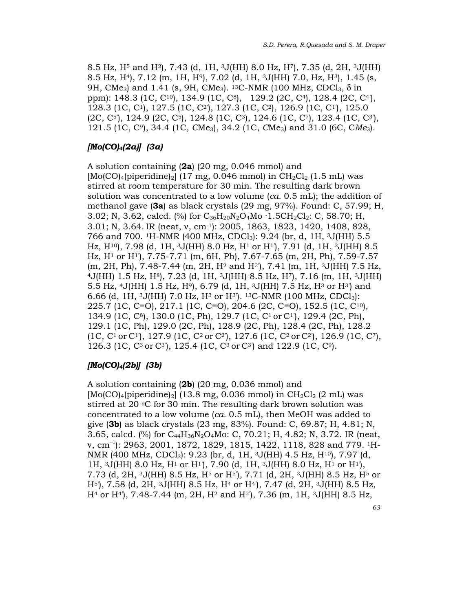8.5 Hz, H5 and H2), 7.43 (d, 1H, 3J(HH) 8.0 Hz, H7), 7.35 (d, 2H, 3J(HH) 8.5 Hz, H4), 7.12 (m, 1H, H9), 7.02 (d, 1H, 3J(HH) 7.0, Hz, H3), 1.45 (s, 9H, CMe<sub>3</sub>) and 1.41 (s, 9H, CMe<sub>3</sub>). <sup>13</sup>C-NMR (100 MHz, CDCl<sub>3</sub>, δ in ppm): 148.3 (1C, C<sup>10</sup>), 134.9 (1C, C<sup>8</sup>), 129.2 (2C, C<sup>4</sup>), 128.4 (2C, C<sup>4</sup>), 128.3 (1C, C1), 127.5 (1C, C2'), 127.3 (1C, C2), 126.9 (1C, C1'), 125.0 (2C, C5'), 124.9 (2C, C5), 124.8 (1C, C3), 124.6 (1C, C7), 123.4 (1C, C3'), 121.5 (1C, C<sup>9</sup>), 34.4 (1C, CMe<sub>3</sub>), 34.2 (1C, CMe<sub>3</sub>) and 31.0 (6C, C*Me<sub>3</sub>*).

### $[Mo(CO)_4(2a)]$  (3a)

A solution containing (2a) (20 mg, 0.046 mmol) and  $[Mo(CO)<sub>4</sub>(piperidine)<sub>2</sub>]$  (17 mg, 0.046 mmol) in CH<sub>2</sub>Cl<sub>2</sub> (1.5 mL) was stirred at room temperature for 30 min. The resulting dark brown solution was concentrated to a low volume  $(ca. 0.5 mL)$ ; the addition of methanol gave (3a) as black crystals (29 mg, 97%). Found: C, 57.99; H, 3.02; N, 3.62, calcd. (%) for  $C_{36}H_{20}N_2O_4Mo \cdot 1.5CH_2Cl_2$ : C, 58.70; H, 3.01; N, 3.64. IR (neat, v, cm<sup>-1</sup>): 2005, 1863, 1823, 1420, 1408, 828, 766 and 700. <sup>1</sup>H-NMR (400 MHz, CDCl<sub>3</sub>): 9.24 (br, d, 1H, <sup>3</sup>J(HH) 5.5 Hz,  $H^{10}$ ), 7.98 (d, 1H, <sup>3</sup>J(HH) 8.0 Hz,  $H^1$  or  $H^1$ ), 7.91 (d, 1H, <sup>3</sup>J(HH) 8.5 Hz, H1 or H1'), 7.75-7.71 (m, 6H, Ph), 7.67-7.65 (m, 2H, Ph), 7.59-7.57 (m, 2H, Ph), 7.48-7.44 (m, 2H, H2 and H2'), 7.41 (m, 1H, 3J(HH) 7.5 Hz,  $4J(HH)$  1.5 Hz, H<sup>8</sup>), 7.23 (d, 1H,  $3J(HH)$  8.5 Hz, H<sup>7</sup>), 7.16 (m, 1H,  $3J(HH)$ 5.5 Hz, 4J(HH) 1.5 Hz, H9), 6.79 (d, 1H, 3J(HH) 7.5 Hz, H3 or H3') and 6.66 (d, 1H,  $3J(HH)$  7.0 Hz, H $3$  or H $3$ ).  $13C-NMR$  (100 MHz, CDCl<sub>3</sub>): 225.7 (1C, C≡O), 217.1 (1C, C≡O), 204.6 (2C, C≡O), 152.5 (1C, C10), 134.9 (1C, C8), 130.0 (1C, Ph), 129.7 (1C, C1 or C1'), 129.4 (2C, Ph), 129.1 (1C, Ph), 129.0 (2C, Ph), 128.9 (2C, Ph), 128.4 (2C, Ph), 128.2  $(1C, C<sup>1</sup>$  or C<sup>1</sup>), 127.9 (1C, C<sup>2</sup> or C<sup>2</sup>), 127.6 (1C, C<sup>2</sup> or C<sup>2</sup>), 126.9 (1C, C<sup>7</sup>), 126.3 (1C, C3 or C3'), 125.4 (1C, C3 or C3') and 122.9 (1C, C9).

### [Mo(CO)<sub>4</sub>(2b)] (3b)

A solution containing  $(2b)$  (20 mg, 0.036 mmol) and  $[Mo(CO)<sub>4</sub>(piperidine)<sub>2</sub>]$  (13.8 mg, 0.036 mmol) in  $CH<sub>2</sub>Cl<sub>2</sub>$  (2 mL) was stirred at 20  $\degree$ C for 30 min. The resulting dark brown solution was concentrated to a low volume (ca. 0.5 mL), then MeOH was added to give (3b) as black crystals (23 mg, 83%). Found: C, 69.87; H, 4.81; N, 3.65, calcd. (%) for C44H36N2O4Mo: C, 70.21; H, 4.82; N, 3.72. IR (neat, v, cm<sup>-1</sup>): 2963, 2001, 1872, 1829, 1815, 1422, 1118, 828 and 779. <sup>1</sup>H-NMR (400 MHz, CDCl3): 9.23 (br, d, 1H, 3J(HH) 4.5 Hz, H10), 7.97 (d, 1H,  $3J(HH)$  8.0 Hz,  $H^1$  or  $H^1$ ), 7.90 (d, 1H,  $3J(HH)$  8.0 Hz,  $H^1$  or  $H^1$ ), 7.73 (d, 2H,  $3J(HH)$  8.5 Hz, H<sup>5</sup> or H<sup>5</sup>), 7.71 (d, 2H,  $3J(HH)$  8.5 Hz, H<sup>5</sup> or H5'), 7.58 (d, 2H, 3J(HH) 8.5 Hz, H4 or H4'), 7.47 (d, 2H, 3J(HH) 8.5 Hz,  $H<sup>4</sup>$  or H<sup>4</sup>), 7.48-7.44 (m, 2H, H<sup>2</sup> and H<sup>2</sup>), 7.36 (m, 1H, <sup>3</sup>J(HH) 8.5 Hz,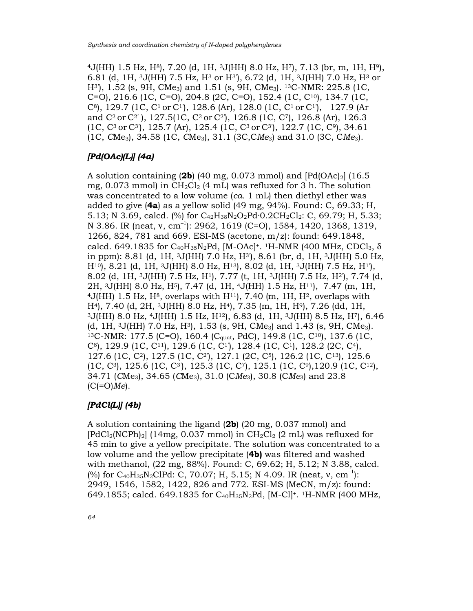$4J(HH)$  1.5 Hz, H $^{8}$ ), 7.20 (d, 1H,  $3J(HH)$  8.0 Hz, H $^{7}$ ), 7.13 (br, m, 1H, H $^{9}$ ), 6.81 (d, 1H,  $3J(HH)$  7.5 Hz, H $3$  or H $3$ ), 6.72 (d, 1H,  $3J(HH)$  7.0 Hz, H $3$  or H3'), 1.52 (s, 9H, CMe3) and 1.51 (s, 9H, CMe3). 13C-NMR: 225.8 (1C, C≡O), 216.6 (1C, C≡O), 204.8 (2C, C≡O), 152.4 (1C, C10), 134.7 (1C, C<sup>8</sup>), 129.7 (1C, C<sup>1</sup> or C<sup>1</sup>), 128.6 (Ar), 128.0 (1C, C<sup>1</sup> or C<sup>1</sup>), 127.9 (Ar and C2 or C2' ), 127.5(1C, C2 or C2'), 126.8 (1C, C7), 126.8 (Ar), 126.3 (1C, C3 or C3'), 125.7 (Ar), 125.4 (1C, C3 or C3'), 122.7 (1C, C9), 34.61  $(1C, CMe<sub>3</sub>), 34.58 (1C, CMe<sub>3</sub>), 31.1 (3C, CMe<sub>3</sub>)$  and 31.0 (3C, CMe<sub>3</sub>).

### $[Pd(OAc)[L]]$   $(4a)$

A solution containing (2b) (40 mg, 0.073 mmol) and  $[Pd(OAc)<sub>2</sub>]$  (16.5) mg,  $0.073$  mmol) in CH<sub>2</sub>Cl<sub>2</sub> (4 mL) was refluxed for 3 h. The solution was concentrated to a low volume (ca. 1 mL) then diethyl ether was added to give  $(4a)$  as a yellow solid  $(49 \text{ mg}, 94\%)$ . Found: C, 69.33; H, 5.13; N 3.69, calcd. (%) for  $C_{42}H_{38}N_2O_2Pd \cdot 0.2CH_2Cl_2$ : C, 69.79; H, 5.33; N 3.86. IR (neat, v, cm<sup>-1</sup>): 2962, 1619 (C=O), 1584, 1420, 1368, 1319, 1266, 824, 781 and 669. ESI-MS (acetone, m/z): found: 649.1848, calcd. 649.1835 for  $C_{40}H_{35}N_2Pd$ , [M-OAc]<sup>+</sup>. <sup>1</sup>H-NMR (400 MHz, CDCl<sub>3</sub>,  $\delta$ in ppm): 8.81 (d, 1H,  $3J(HH)$  7.0 Hz, H $3$ ), 8.61 (br, d, 1H,  $3J(HH)$  5.0 Hz, H10), 8.21 (d, 1H, 3J(HH) 8.0 Hz, H13), 8.02 (d, 1H, 3J(HH) 7.5 Hz, H1'), 8.02 (d, 1H, 3J(HH) 7.5 Hz, H1), 7.77 (t, 1H, 3J(HH) 7.5 Hz, H2'), 7.74 (d, 2H, 3J(HH) 8.0 Hz, H5), 7.47 (d, 1H, 4J(HH) 1.5 Hz, H11), 7.47 (m, 1H,  $4J(HH)$  1.5 Hz, H<sup>8</sup>, overlaps with H<sup>11</sup>, 7.40 (m, 1H, H<sup>2</sup>, overlaps with H4), 7.40 (d, 2H, 3J(HH) 8.0 Hz, H4), 7.35 (m, 1H, H9), 7.26 (dd, 1H,  $3J(HH)$  8.0 Hz,  $4J(HH)$  1.5 Hz,  $H^{12}$ ), 6.83 (d, 1H,  $3J(HH)$  8.5 Hz, H<sup>7</sup>), 6.46 (d, 1H, 3J(HH) 7.0 Hz, H3), 1.53 (s, 9H, CMe3) and 1.43 (s, 9H, CMe3). <sup>13</sup>C-NMR: 177.5 (C=O), 160.4 (Cquat, PdC), 149.8 (1C, C10), 137.6 (1C, C<sup>8</sup>), 129.9 (1C, C<sup>11</sup>), 129.6 (1C, C<sup>1</sup>), 128.4 (1C, C<sup>1</sup>), 128.2 (2C, C<sup>4</sup>), 127.6 (1C, C2), 127.5 (1C, C2'), 127.1 (2C, C5), 126.2 (1C, C13), 125.6  $(1C, C^3)$ , 125.6  $(1C, C^3)$ , 125.3  $(1C, C^7)$ , 125.1  $(1C, C^9)$ , 120.9  $(1C, C^{12})$ , 34.71 (CMe<sub>3</sub>), 34.65 (CMe<sub>3</sub>), 31.0 (CMe<sub>3</sub>), 30.8 (CMe<sub>3</sub>) and 23.8  $(C(=O)Me)$ .

### [PdCl(L)] (4b)

A solution containing the ligand (2b) (20 mg, 0.037 mmol) and  $[PdCl_2(NCPh)_2]$  (14mg, 0.037 mmol) in  $CH_2Cl_2$  (2 mL) was refluxed for 45 min to give a yellow precipitate. The solution was concentrated to a low volume and the yellow precipitate (4b) was filtered and washed with methanol, (22 mg, 88%). Found: C, 69.62; H, 5.12; N 3.88, calcd. (%) for  $C_{40}H_{35}N_2CIPd$ : C, 70.07; H, 5.15; N 4.09. IR (neat, v, cm<sup>-1</sup>): 2949, 1546, 1582, 1422, 826 and 772. ESI-MS (MeCN, m/z): found: 649.1855; calcd. 649.1835 for  $C_{40}H_{35}N_2Pd$ , [M-Cl]<sup>+</sup>. <sup>1</sup>H-NMR (400 MHz,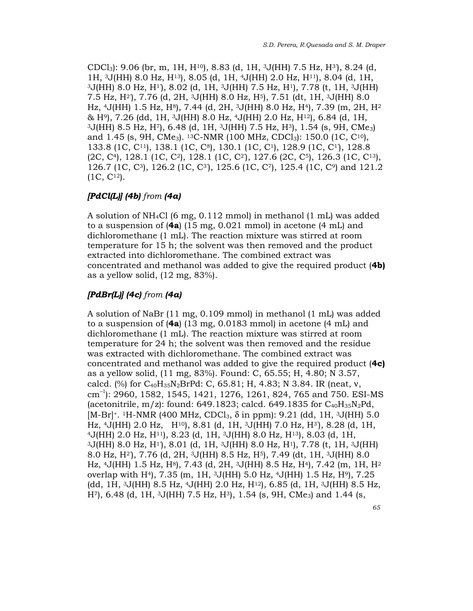CDCl3): 9.06 (br, m, 1H, H10), 8.83 (d, 1H, 3J(HH) 7.5 Hz, H3'), 8.24 (d, 1H, 3J(HH) 8.0 Hz, H13), 8.05 (d, 1H, 4J(HH) 2.0 Hz, H11), 8.04 (d, 1H,  $3J(HH)$  8.0 Hz, H<sup>1</sup>), 8.02 (d, 1H,  $3J(HH)$  7.5 Hz, H<sup>1</sup>), 7.78 (t, 1H,  $3J(HH)$ 7.5 Hz, H2'), 7.76 (d, 2H, 3J(HH) 8.0 Hz, H5), 7.51 (dt, 1H, 3J(HH) 8.0 Hz, 4J(HH) 1.5 Hz, H8), 7.44 (d, 2H, 3J(HH) 8.0 Hz, H4), 7.39 (m, 2H, H<sup>2</sup> & H9), 7.26 (dd, 1H, 3J(HH) 8.0 Hz, 4J(HH) 2.0 Hz, H12), 6.84 (d, 1H, <sup>3</sup>J(HH) 8.5 Hz, H7), 6.48 (d, 1H, 3J(HH) 7.5 Hz, H3), 1.54 (s, 9H, CMe3) and 1.45 (s, 9H, CMe<sub>3</sub>). <sup>13</sup>C-NMR (100 MHz, CDCl<sub>3</sub>): 150.0 (1C, C<sup>10</sup>), 133.8 (1C, C11), 138.1 (1C, C8), 130.1 (1C, C1), 128.9 (1C, C1'), 128.8  $(2C, C<sup>4</sup>)$ , 128.1 (1C, C<sup>2</sup>), 128.1 (1C, C<sup>2</sup>), 127.6 (2C, C<sup>5</sup>), 126.3 (1C, C<sup>13</sup>), 126.7 (1C, C3), 126.2 (1C, C3'), 125.6 (1C, C7), 125.4 (1C, C9) and 121.2 (1C, C12).

### $[PdCl(L)]$  (4b) from (4a)

A solution of NH4Cl (6 mg, 0.112 mmol) in methanol (1 mL) was added to a suspension of (4a) (15 mg, 0.021 mmol) in acetone (4 mL) and dichloromethane (1 mL). The reaction mixture was stirred at room temperature for 15 h; the solvent was then removed and the product extracted into dichloromethane. The combined extract was concentrated and methanol was added to give the required product (4b) as a yellow solid, (12 mg, 83%).

# $[PdBr(L)]$  (4c) from (4a)

A solution of NaBr (11 mg, 0.109 mmol) in methanol (1 mL) was added to a suspension of  $(4a)$  (13 mg, 0.0183 mmol) in acetone  $(4 \text{ mL})$  and dichloromethane (1 mL). The reaction mixture was stirred at room temperature for 24 h; the solvent was then removed and the residue was extracted with dichloromethane. The combined extract was concentrated and methanol was added to give the required product (4c) as a yellow solid, (11 mg, 83%). Found: C, 65.55; H, 4.80; N 3.57, calcd. (%) for  $C_{40}H_{35}N_2BrPd$ : C, 65.81; H, 4.83; N 3.84. IR (neat, v, cm−1): 2960, 1582, 1545, 1421, 1276, 1261, 824, 765 and 750. ESI-MS (acetonitrile, m/z): found: 649.1823; calcd. 649.1835 for  $C_{40}H_{35}N_2Pd$ , [M-Br]<sup>+</sup>. <sup>1</sup>H-NMR (400 MHz, CDCl<sub>3</sub>,  $\delta$  in ppm): 9.21 (dd, 1H, <sup>3</sup>J(HH) 5.0 Hz, 4J(HH) 2.0 Hz, H10), 8.81 (d, 1H, 3J(HH) 7.0 Hz, H3'), 8.28 (d, 1H, <sup>4</sup>J(HH) 2.0 Hz, H11), 8.23 (d, 1H, 3J(HH) 8.0 Hz, H13), 8.03 (d, 1H, <sup>3</sup>J(HH) 8.0 Hz, H1'), 8.01 (d, 1H, 3J(HH) 8.0 Hz, H1), 7.78 (t, 1H, 3J(HH) 8.0 Hz, H2'), 7.76 (d, 2H, 3J(HH) 8.5 Hz, H5), 7.49 (dt, 1H, 3J(HH) 8.0 Hz, 4J(HH) 1.5 Hz, H8), 7.43 (d, 2H, 3J(HH) 8.5 Hz, H4), 7.42 (m, 1H, H<sup>2</sup> overlap with H4), 7.35 (m, 1H, 3J(HH) 5.0 Hz, 4J(HH) 1.5 Hz, H9), 7.25 (dd, 1H, 3J(HH) 8.5 Hz, 4J(HH) 2.0 Hz, H12), 6.85 (d, 1H, 3J(HH) 8.5 Hz, H7), 6.48 (d, 1H, 3J(HH) 7.5 Hz, H3), 1.54 (s, 9H, CMe3) and 1.44 (s,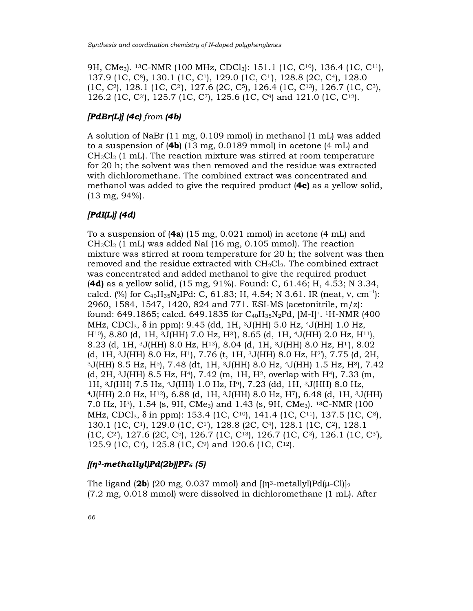9H, CMe<sub>3</sub>). <sup>13</sup>C-NMR (100 MHz, CDCl<sub>3</sub>): 151.1 (1C, C<sup>10</sup>), 136.4 (1C, C<sup>11</sup>), 137.9 (1C, C8), 130.1 (1C, C1), 129.0 (1C, C1'), 128.8 (2C, C4), 128.0 (1C, C2), 128.1 (1C, C2'), 127.6 (2C, C5), 126.4 (1C, C13), 126.7 (1C, C3), 126.2 (1C, C3'), 125.7 (1C, C7), 125.6 (1C, C9) and 121.0 (1C, C12).

### $[PdBr(L)]$  (4c) from (4b)

A solution of NaBr (11 mg, 0.109 mmol) in methanol (1 mL) was added to a suspension of (4b) (13 mg, 0.0189 mmol) in acetone (4 mL) and  $CH_2Cl_2$  (1 mL). The reaction mixture was stirred at room temperature for 20 h; the solvent was then removed and the residue was extracted with dichloromethane. The combined extract was concentrated and methanol was added to give the required product (4c) as a yellow solid, (13 mg, 94%).

### [PdI(L)] (4d)

To a suspension of  $(4a)$  (15 mg, 0.021 mmol) in acetone  $(4 \text{ mL})$  and  $CH_2Cl_2$  (1 mL) was added NaI (16 mg, 0.105 mmol). The reaction mixture was stirred at room temperature for 20 h; the solvent was then removed and the residue extracted with  $CH<sub>2</sub>Cl<sub>2</sub>$ . The combined extract was concentrated and added methanol to give the required product (4d) as a yellow solid, (15 mg, 91%). Found: C, 61.46; H, 4.53; N 3.34, calcd. (%) for  $C_{40}H_{35}N_2IPd$ : C, 61.83; H, 4.54; N 3.61. IR (neat, v, cm<sup>-1</sup>): 2960, 1584, 1547, 1420, 824 and 771. ESI-MS (acetonitrile, m/z): found: 649.1865; calcd. 649.1835 for C<sub>40</sub>H<sub>35</sub>N<sub>2</sub>Pd, [M-I]<sup>+</sup>. <sup>1</sup>H-NMR (400 MHz, CDCl<sub>3</sub>,  $\delta$  in ppm): 9.45 (dd, 1H, <sup>3</sup>J(HH) 5.0 Hz, <sup>4</sup>J(HH) 1.0 Hz, H10), 8.80 (d, 1H, 3J(HH) 7.0 Hz, H3'), 8.65 (d, 1H, 4J(HH) 2.0 Hz, H11), 8.23 (d, 1H, 3J(HH) 8.0 Hz, H13), 8.04 (d, 1H, 3J(HH) 8.0 Hz, H1'), 8.02 (d, 1H, 3J(HH) 8.0 Hz, H1), 7.76 (t, 1H, 3J(HH) 8.0 Hz, H2'), 7.75 (d, 2H,  $3J(HH)$  8.5 Hz, H<sup>5</sup>), 7.48 (dt, 1H,  $3J(HH)$  8.0 Hz,  $4J(HH)$  1.5 Hz, H<sup>8</sup>), 7.42 (d, 2H, 3J(HH) 8.5 Hz, H4), 7.42 (m, 1H, H2, overlap with H4), 7.33 (m, 1H, 3J(HH) 7.5 Hz, 4J(HH) 1.0 Hz, H9), 7.23 (dd, 1H, 3J(HH) 8.0 Hz, <sup>4</sup>J(HH) 2.0 Hz, H12), 6.88 (d, 1H, 3J(HH) 8.0 Hz, H7), 6.48 (d, 1H, 3J(HH) 7.0 Hz, H3), 1.54 (s, 9H, CMe3) and 1.43 (s, 9H, CMe3). 13C-NMR (100 MHz, CDCl<sub>3</sub>,  $\delta$  in ppm): 153.4 (1C, C<sup>10</sup>), 141.4 (1C, C<sup>11</sup>), 137.5 (1C, C<sup>8</sup>), 130.1 (1C, C1), 129.0 (1C, C1'), 128.8 (2C, C4), 128.1 (1C, C2), 128.1 (1C, C2'), 127.6 (2C, C5), 126.7 (1C, C13), 126.7 (1C, C3), 126.1 (1C, C3'), 125.9 (1C, C7), 125.8 (1C, C9) and 120.6 (1C, C12).

#### $[(n^3-methally]/Pd(2b)]PF_6(5)$

The ligand (2b) (20 mg, 0.037 mmol) and  $[(\eta^3-metallyl)Pd(\mu-Cl)]_2$ (7.2 mg, 0.018 mmol) were dissolved in dichloromethane (1 mL). After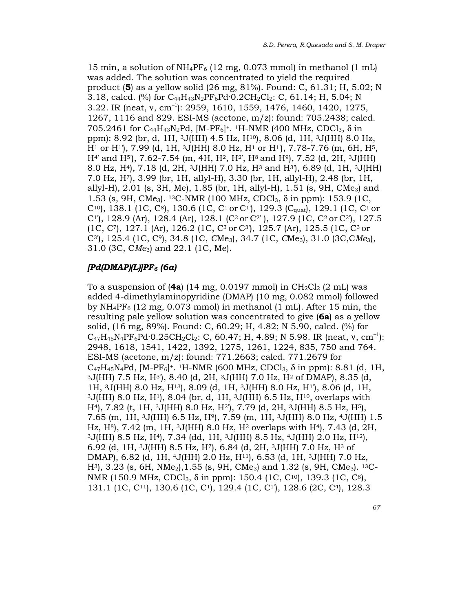15 min, a solution of  $NH_4PF_6$  (12 mg, 0.073 mmol) in methanol (1 mL) was added. The solution was concentrated to yield the required product (5) as a yellow solid (26 mg,  $81\%$ ). Found: C,  $61.31$ ; H,  $5.02$ ; N 3.18, calcd. (%) for  $C_{44}H_{43}N_2PF_6Pd \cdot 0.2CH_2Cl_2$ : C, 61.14; H, 5.04; N 3.22. IR (neat, v, cm<sup>-1</sup>): 2959, 1610, 1559, 1476, 1460, 1420, 1275, 1267, 1116 and 829. ESI-MS (acetone, m/z): found: 705.2438; calcd. 705.2461 for C<sub>44</sub>H<sub>43</sub>N<sub>2</sub>Pd, [M-PF<sub>6</sub>]<sup>+</sup>. <sup>1</sup>H-NMR (400 MHz, CDCl<sub>3</sub>, δ in ppm): 8.92 (br, d, 1H, 3J(HH) 4.5 Hz, H10), 8.06 (d, 1H, 3J(HH) 8.0 Hz, H1 or H1'), 7.99 (d, 1H, 3J(HH) 8.0 Hz, H1 or H1'), 7.78-7.76 (m, 6H, H5,  $H<sup>4</sup>$  and  $H<sup>5</sup>$ ), 7.62-7.54 (m, 4H,  $H<sup>2</sup>$ ,  $H<sup>2</sup>$ ,  $H<sup>8</sup>$  and  $H<sup>9</sup>$ ), 7.52 (d, 2H, <sup>3</sup>J(HH) 8.0 Hz, H4), 7.18 (d, 2H, 3J(HH) 7.0 Hz, H3 and H3'), 6.89 (d, 1H, 3J(HH) 7.0 Hz, H7), 3.99 (br, 1H, allyl-H), 3.30 (br, 1H, allyl-H), 2.48 (br, 1H, allyl-H), 2.01 (s, 3H, Me), 1.85 (br, 1H, allyl-H), 1.51 (s, 9H, CMe<sub>3</sub>) and 1.53 (s, 9H, CMe<sub>3</sub>). <sup>13</sup>C-NMR (100 MHz, CDCl<sub>3</sub>, δ in ppm): 153.9 (1C, C<sup>10</sup>, 138.1 (1C, C<sup>8</sup>), 130.6 (1C, C<sup>1</sup> or C<sup>1</sup>), 129.3 (C<sub>quat</sub>), 129.1 (1C, C<sup>1</sup> or C<sup>1</sup>), 128.9 (Ar), 128.4 (Ar), 128.1 (C<sup>2</sup> or C<sup>2'</sup>), 127.9 (1C, C<sup>2</sup> or C<sup>2</sup>), 127.5 (1C, C7), 127.1 (Ar), 126.2 (1C, C3 or C3'), 125.7 (Ar), 125.5 (1C, C3 or C<sup>3</sup>), 125.4 (1C, C<sup>9</sup>), 34.8 (1C, CMe<sub>3</sub>), 34.7 (1C, CMe<sub>3</sub>), 31.0 (3C, CMe<sub>3</sub>), 31.0 (3C, CMe3) and 22.1 (1C, Me).

#### $[Pd(DMAP)(L)]PF_6$  (6a)

To a suspension of  $(4a)$  (14 mg, 0.0197 mmol) in CH<sub>2</sub>Cl<sub>2</sub> (2 mL) was added 4-dimethylaminopyridine (DMAP) (10 mg, 0.082 mmol) followed by  $NH_4PF_6$  (12 mg, 0.073 mmol) in methanol (1 mL). After 15 min, the resulting pale yellow solution was concentrated to give (6a) as a yellow solid, (16 mg, 89%). Found: C, 60.29; H, 4.82; N 5.90, calcd. (%) for  $C_{47}H_{45}N_4PF_6Pd·0.25CH_2Cl_2$ : C, 60.47; H, 4.89; N 5.98. IR (neat, v, cm<sup>-1</sup>): 2948, 1618, 1541, 1422, 1392, 1275, 1261, 1224, 835, 750 and 764. ESI-MS (acetone, m/z): found: 771.2663; calcd. 771.2679 for  $C_{47}H_{45}N_{4}Pd$ , [M-PF<sub>6</sub>]<sup>+</sup>. <sup>1</sup>H-NMR (600 MHz, CDCl<sub>3</sub>,  $\delta$  in ppm): 8.81 (d, 1H, <sup>3</sup>J(HH) 7.5 Hz, H3'), 8.40 (d, 2H, 3J(HH) 7.0 Hz, H2 of DMAP), 8.35 (d, 1H, 3J(HH) 8.0 Hz, H13), 8.09 (d, 1H, 3J(HH) 8.0 Hz, H1'), 8.06 (d, 1H,  $3J(HH)$  8.0 Hz,  $H<sup>1</sup>$ , 8.04 (br, d, 1H,  $3J(HH)$  6.5 Hz,  $H<sup>10</sup>$ , overlaps with H4), 7.82 (t, 1H, 3J(HH) 8.0 Hz, H2'), 7.79 (d, 2H, 3J(HH) 8.5 Hz, H5), 7.65 (m, 1H, 3J(HH) 6.5 Hz, H9), 7.59 (m, 1H, 3J(HH) 8.0 Hz, 4J(HH) 1.5 Hz, H<sup>8</sup>), 7.42 (m, 1H, <sup>3</sup>J(HH) 8.0 Hz, H<sup>2</sup> overlaps with H<sup>4</sup>), 7.43 (d, 2H,  $3J(HH)$  8.5 Hz, H<sup>4</sup>), 7.34 (dd, 1H,  $3J(HH)$  8.5 Hz,  $4J(HH)$  2.0 Hz, H<sup>12</sup>), 6.92 (d, 1H, 3J(HH) 8.5 Hz, H7), 6.84 (d, 2H, 3J(HH) 7.0 Hz, H3 of DMAP), 6.82 (d, 1H, 4J(HH) 2.0 Hz, H11), 6.53 (d, 1H, 3J(HH) 7.0 Hz,  $H^3$ , 3.23 (s, 6H, NMe<sub>2</sub>), 1.55 (s, 9H, CMe<sub>3</sub>) and 1.32 (s, 9H, CMe<sub>3</sub>). <sup>13</sup>C-NMR (150.9 MHz, CDCl<sub>3</sub>, δ in ppm): 150.4 (1C, C<sup>10</sup>), 139.3 (1C, C<sup>8</sup>), 131.1 (1C, C11), 130.6 (1C, C1), 129.4 (1C, C1'), 128.6 (2C, C4), 128.3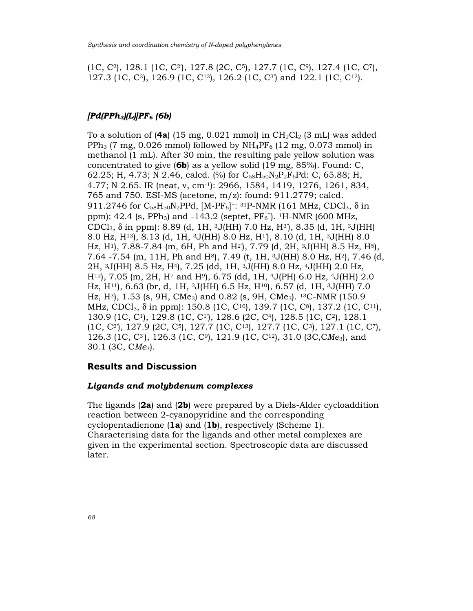(1C, C2), 128.1 (1C, C2'), 127.8 (2C, C5), 127.7 (1C, C9), 127.4 (1C, C7), 127.3 (1C, C3), 126.9 (1C, C13), 126.2 (1C, C3') and 122.1 (1C, C12).

#### $[Pd(PPh<sub>3</sub>)(L)]PF<sub>6</sub>$  (6b)

To a solution of  $(4a)$  (15 mg, 0.021 mmol) in CH<sub>2</sub>Cl<sub>2</sub> (3 mL) was added PPh<sub>3</sub> (7 mg, 0.026 mmol) followed by  $NH_4PF_6$  (12 mg, 0.073 mmol) in methanol (1 mL). After 30 min, the resulting pale yellow solution was concentrated to give (6b) as a yellow solid (19 mg, 85%). Found: C, 62.25; H, 4.73; N 2.46, calcd. (%) for  $C_{58}H_{50}N_2P_2F_6Pd$ : C, 65.88; H, 4.77; N 2.65. IR (neat, ν, cm-1): 2966, 1584, 1419, 1276, 1261, 834, 765 and 750. ESI-MS (acetone, m/z): found: 911.2779; calcd. 911.2746 for C<sub>58</sub>H<sub>50</sub>N<sub>2</sub>PPd, [M-PF<sub>6</sub>]<sup>+</sup>: <sup>31</sup>P-NMR (161 MHz, CDCl<sub>3</sub>, δ in ppm):  $42.4$  (s, PPh<sub>3</sub>) and  $-143.2$  (septet, PF<sub>6</sub><sup>-</sup>). <sup>1</sup>H-NMR (600 MHz, CDCl3, δ in ppm): 8.89 (d, 1H, 3J(HH) 7.0 Hz, H3'), 8.35 (d, 1H, 3J(HH) 8.0 Hz, H13), 8.13 (d, 1H, 3J(HH) 8.0 Hz, H1'), 8.10 (d, 1H, 3J(HH) 8.0 Hz, H<sup>1</sup>), 7.88-7.84 (m, 6H, Ph and H<sup>2</sup>), 7.79 (d, 2H, <sup>3</sup>J(HH) 8.5 Hz, H<sup>5</sup>), 7.64 -7.54 (m, 11H, Ph and H<sup>8</sup>), 7.49 (t, 1H, <sup>3</sup>J(HH) 8.0 Hz, H<sup>2</sup>), 7.46 (d, 2H, 3J(HH) 8.5 Hz, H4), 7.25 (dd, 1H, 3J(HH) 8.0 Hz, 4J(HH) 2.0 Hz, H12), 7.05 (m, 2H, H7 and H9), 6.75 (dd, 1H, 4J(PH) 6.0 Hz, 4J(HH) 2.0 Hz, H<sup>11</sup>), 6.63 (br, d, 1H, <sup>3</sup>J(HH) 6.5 Hz, H<sup>10</sup>), 6.57 (d, 1H, <sup>3</sup>J(HH) 7.0 Hz, H3), 1.53 (s, 9H, CMe3) and 0.82 (s, 9H, CMe3). <sup>13</sup>C-NMR (150.9 MHz, CDCl<sub>3</sub>, δ in ppm): 150.8 (1C, C<sup>10</sup>), 139.7 (1C, C<sup>8</sup>), 137.2 (1C, C<sup>11</sup>), 130.9 (1C, C1), 129.8 (1C, C1'), 128.6 (2C, C4), 128.5 (1C, C2), 128.1  $(1C, C^2)$ , 127.9  $(2C, C^5)$ , 127.7  $(1C, C^{13})$ , 127.7  $(1C, C^3)$ , 127.1  $(1C, C^7)$ , 126.3 (1C, C3'), 126.3 (1C, C9), 121.9 (1C, C12), 31.0 (3C,CMe3), and  $30.1$  (3C, CMe<sub>3</sub>).

### Results and Discussion

#### Ligands and molybdenum complexes

The ligands (2a) and (2b) were prepared by a Diels-Alder cycloaddition reaction between 2-cyanopyridine and the corresponding cyclopentadienone (1a) and (1b), respectively (Scheme 1). Characterising data for the ligands and other metal complexes are given in the experimental section. Spectroscopic data are discussed later.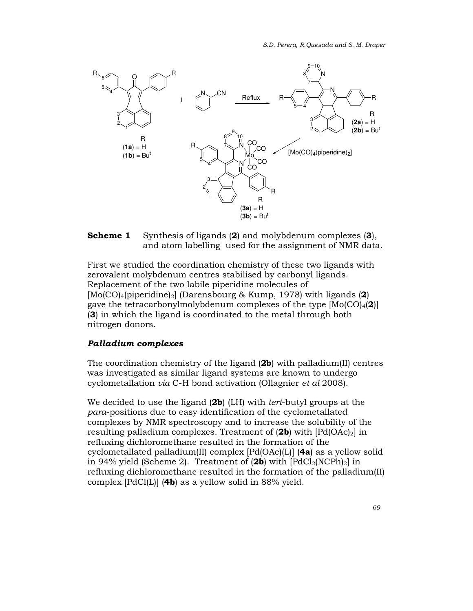

**Scheme 1** Synthesis of ligands (2) and molybdenum complexes (3), and atom labelling used for the assignment of NMR data.

First we studied the coordination chemistry of these two ligands with zerovalent molybdenum centres stabilised by carbonyl ligands. Replacement of the two labile piperidine molecules of  $[Mo(CO)<sub>4</sub>(piperidine)<sub>2</sub>]$  (Darensbourg & Kump, 1978) with ligands (2) gave the tetracarbonylmolybdenum complexes of the type  $[Mo(CO)<sub>4</sub>(2)]$ (3) in which the ligand is coordinated to the metal through both nitrogen donors.

#### Palladium complexes

The coordination chemistry of the ligand  $(2b)$  with palladium(II) centres was investigated as similar ligand systems are known to undergo cyclometallation via C-H bond activation (Ollagnier et al 2008).

We decided to use the ligand (2b) (LH) with tert-butyl groups at the para-positions due to easy identification of the cyclometallated complexes by NMR spectroscopy and to increase the solubility of the resulting palladium complexes. Treatment of  $(2b)$  with  $[Pd(OAc)_2]$  in refluxing dichloromethane resulted in the formation of the cyclometallated palladium(II) complex  $[Pd(OAc)(L)]$  (4a) as a yellow solid in 94% yield (Scheme 2). Treatment of  $(2b)$  with  $[PdCl_2(NCPh)_2]$  in refluxing dichloromethane resulted in the formation of the palladium(II) complex [PdCl(L)] (4b) as a yellow solid in 88% yield.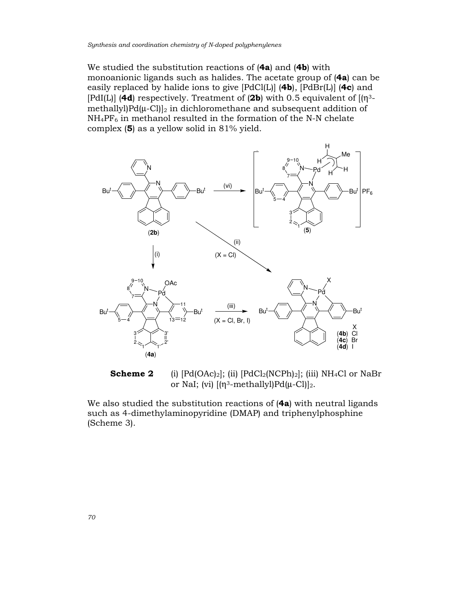We studied the substitution reactions of (4a) and (4b) with monoanionic ligands such as halides. The acetate group of (4a) can be easily replaced by halide ions to give  $[PadCl(L)]$  (4b),  $[PadBr(L)]$  (4c) and [PdI(L)] (4d) respectively. Treatment of (2b) with 0.5 equivalent of  $\left[\eta^{3-}\right]$ methallyl $Pd(\mu-Cl)|_2$  in dichloromethane and subsequent addition of  $NH_4PF_6$  in methanol resulted in the formation of the N-N chelate complex (5) as a yellow solid in 81% yield.



**Scheme 2** (i)  $[Pd(OAc)_2]$ ; (ii)  $[PdCl_2(NCPh)_2]$ ; (iii)  $NH_4Cl$  or NaBr or NaI; (vi)  $[(\eta^3\text{-methallyl})Pd(\mu-Cl)]_2$ .

We also studied the substitution reactions of (4a) with neutral ligands such as 4-dimethylaminopyridine (DMAP) and triphenylphosphine (Scheme 3).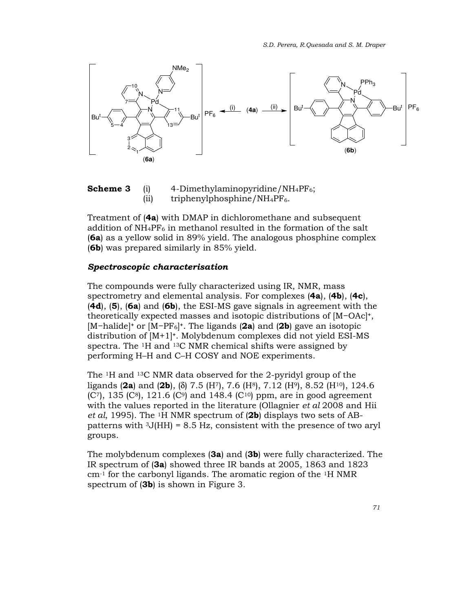

**Scheme 3** (i) 4-Dimethylaminopyridine/NH<sub>4</sub>PF<sub>6</sub>; (ii) triphenylphosphine/NH<sub>4</sub>PF<sub>6</sub>.

Treatment of (4a) with DMAP in dichloromethane and subsequent addition of  $NH_4PF_6$  in methanol resulted in the formation of the salt (6a) as a yellow solid in 89% yield. The analogous phosphine complex (6b) was prepared similarly in 85% yield.

#### Spectroscopic characterisation

The compounds were fully characterized using IR, NMR, mass spectrometry and elemental analysis. For complexes  $(4a)$ ,  $(4b)$ ,  $(4c)$ ,  $(4d)$ ,  $(5)$ ,  $(6a)$  and  $(6b)$ , the ESI-MS gave signals in agreement with the theoretically expected masses and isotopic distributions of [M−OAc]+, [M−halide]<sup>+</sup> or [M−PF<sub>6</sub>]<sup>+</sup>. The ligands (2a) and (2b) gave an isotopic distribution of [M+1]+. Molybdenum complexes did not yield ESI-MS spectra. The 1H and 13C NMR chemical shifts were assigned by performing H–H and C–H COSY and NOE experiments.

The 1H and 13C NMR data observed for the 2-pyridyl group of the ligands (2a) and (2b), (δ) 7.5 (H<sup>7</sup>), 7.6 (H<sup>8</sup>), 7.12 (H<sup>9</sup>), 8.52 (H<sup>10</sup>), 124.6  $(C<sup>7</sup>)$ , 135  $(C<sup>8</sup>)$ , 121.6  $(C<sup>9</sup>)$  and 148.4  $(C<sup>10</sup>)$  ppm, are in good agreement with the values reported in the literature (Ollagnier *et al* 2008 and Hii *et al*, 1995). The <sup>1</sup>H NMR spectrum of (2b) displays two sets of ABpatterns with  $3J(HH) = 8.5 Hz$ , consistent with the presence of two aryl groups.

The molybdenum complexes (3a) and (3b) were fully characterized. The IR spectrum of (3a) showed three IR bands at 2005, 1863 and 1823 cm-1 for the carbonyl ligands. The aromatic region of the 1H NMR spectrum of (**3b**) is shown in Figure 3.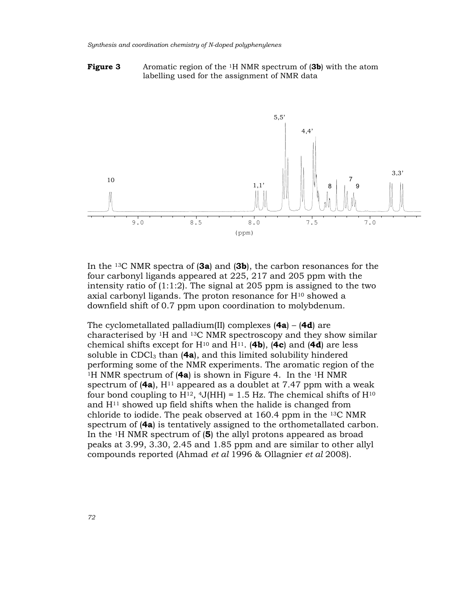#### **Figure 3** Aromatic region of the <sup>1</sup>H NMR spectrum of (3b) with the atom labelling used for the assignment of NMR data



In the <sup>13</sup>C NMR spectra of  $(3a)$  and  $(3b)$ , the carbon resonances for the four carbonyl ligands appeared at 225, 217 and 205 ppm with the intensity ratio of (1:1:2). The signal at 205 ppm is assigned to the two axial carbonyl ligands. The proton resonance for  $H^{10}$  showed a downfield shift of 0.7 ppm upon coordination to molybdenum.

The cyclometallated palladium(II) complexes  $(4a) - (4d)$  are characterised by 1H and 13C NMR spectroscopy and they show similar chemical shifts except for  $H^{10}$  and  $H^{11}$ . (4b), (4c) and (4d) are less soluble in CDCl<sub>3</sub> than  $(4a)$ , and this limited solubility hindered performing some of the NMR experiments. The aromatic region of the <sup>1</sup>H NMR spectrum of  $(4a)$  is shown in Figure 4. In the <sup>1</sup>H NMR spectrum of  $(4a)$ ,  $H<sup>11</sup>$  appeared as a doublet at 7.47 ppm with a weak four bond coupling to H<sup>12</sup>, <sup>4</sup>J(HH) = 1.5 Hz. The chemical shifts of H<sup>10</sup> and  $H<sup>11</sup>$  showed up field shifts when the halide is changed from chloride to iodide. The peak observed at 160.4 ppm in the 13C NMR spectrum of (4a) is tentatively assigned to the orthometallated carbon. In the 1H NMR spectrum of (5) the allyl protons appeared as broad peaks at 3.99, 3.30, 2.45 and 1.85 ppm and are similar to other allyl compounds reported (Ahmad et al 1996 & Ollagnier et al 2008).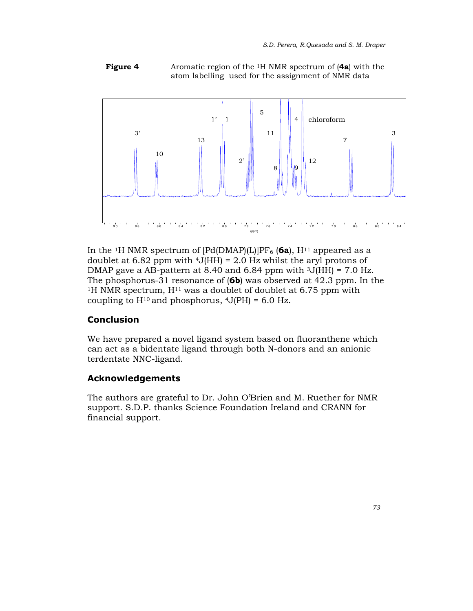**Figure 4** Aromatic region of the  $\frac{1}{1}$  NMR spectrum of (4a) with the atom labelling used for the assignment of NMR data



In the <sup>1</sup>H NMR spectrum of  $[Pd(DMAP)(L)]PF_6$  (6a),  $H^{11}$  appeared as a doublet at 6.82 ppm with  $4J(HH) = 2.0$  Hz whilst the aryl protons of DMAP gave a AB-pattern at 8.40 and 6.84 ppm with  $3J(HH) = 7.0$  Hz. The phosphorus-31 resonance of (6b) was observed at 42.3 ppm. In the <sup>1</sup>H NMR spectrum,  $H<sup>11</sup>$  was a doublet of doublet at 6.75 ppm with coupling to  $H^{10}$  and phosphorus,  $4J(PH) = 6.0$  Hz.

# **Conclusion**

We have prepared a novel ligand system based on fluoranthene which can act as a bidentate ligand through both N-donors and an anionic terdentate NNC-ligand.

# Acknowledgements

The authors are grateful to Dr. John O'Brien and M. Ruether for NMR support. S.D.P. thanks Science Foundation Ireland and CRANN for financial support.